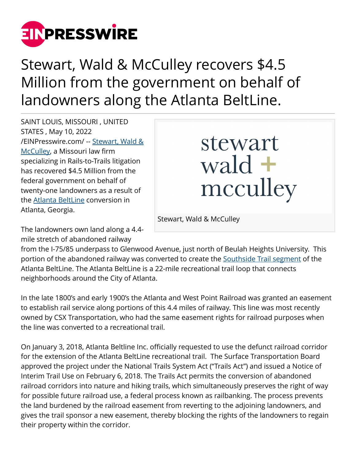

Stewart, Wald & McCulley recovers \$4.5 Million from the government on behalf of landowners along the Atlanta BeltLine.

SAINT LOUIS, MISSOURI , UNITED STATES , May 10, 2022 [/EINPresswire.com/](http://www.einpresswire.com) -- [Stewart, Wald &](http://swm.legal) [McCulley](http://swm.legal), a Missouri law firm specializing in Rails-to-Trails litigation has recovered \$4.5 Million from the federal government on behalf of twenty-one landowners as a result of the [Atlanta BeltLine](http://beltline.org/) conversion in Atlanta, Georgia.

## stewart wald  $+$ mcculley

Stewart, Wald & McCulley

The landowners own land along a 4.4 mile stretch of abandoned railway

from the I-75/85 underpass to Glenwood Avenue, just north of Beulah Heights University. This portion of the abandoned railway was converted to create the [Southside Trail segment](http://beltline.org/places-to-go/southside-trail/) of the Atlanta BeltLine. The Atlanta BeltLine is a 22-mile recreational trail loop that connects neighborhoods around the City of Atlanta.

In the late 1800's and early 1900's the Atlanta and West Point Railroad was granted an easement to establish rail service along portions of this 4.4 miles of railway. This line was most recently owned by CSX Transportation, who had the same easement rights for railroad purposes when the line was converted to a recreational trail.

On January 3, 2018, Atlanta Beltline Inc. officially requested to use the defunct railroad corridor for the extension of the Atlanta BeltLine recreational trail. The Surface Transportation Board approved the project under the National Trails System Act ("Trails Act") and issued a Notice of Interim Trail Use on February 6, 2018. The Trails Act permits the conversion of abandoned railroad corridors into nature and hiking trails, which simultaneously preserves the right of way for possible future railroad use, a federal process known as railbanking. The process prevents the land burdened by the railroad easement from reverting to the adjoining landowners, and gives the trail sponsor a new easement, thereby blocking the rights of the landowners to regain their property within the corridor.